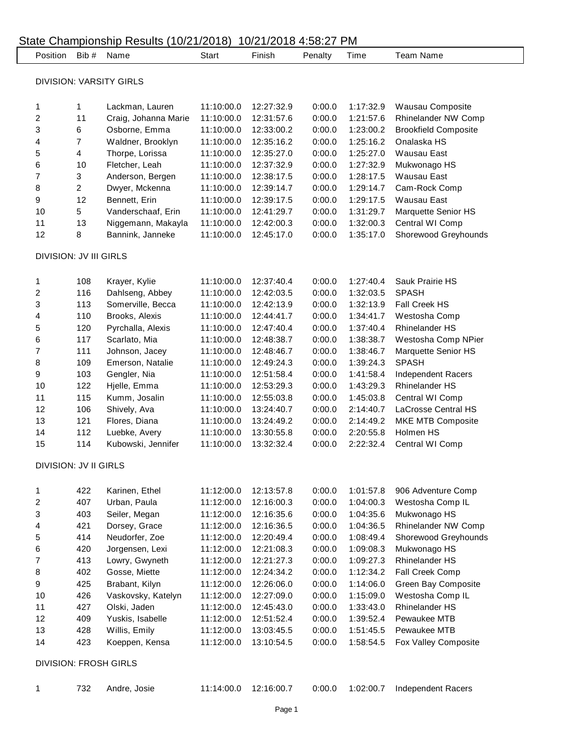| Position                      | Bib#                    | Name                           | Start      | Finish     | Penalty | Time      | <b>Team Name</b>            |
|-------------------------------|-------------------------|--------------------------------|------------|------------|---------|-----------|-----------------------------|
|                               |                         | <b>DIVISION: VARSITY GIRLS</b> |            |            |         |           |                             |
|                               |                         |                                |            |            |         |           |                             |
| 1                             | 1                       | Lackman, Lauren                | 11:10:00.0 | 12:27:32.9 | 0:00.0  | 1:17:32.9 | Wausau Composite            |
| $\overline{c}$                | 11                      | Craig, Johanna Marie           | 11:10:00.0 | 12:31:57.6 | 0:00.0  | 1:21:57.6 | Rhinelander NW Comp         |
| 3                             | 6                       | Osborne, Emma                  | 11:10:00.0 | 12:33:00.2 | 0:00.0  | 1:23:00.2 | <b>Brookfield Composite</b> |
| 4                             | $\overline{7}$          | Waldner, Brooklyn              | 11:10:00.0 | 12:35:16.2 | 0:00.0  | 1:25:16.2 | Onalaska HS                 |
| 5                             | $\overline{\mathbf{4}}$ | Thorpe, Lorissa                | 11:10:00.0 | 12:35:27.0 | 0:00.0  | 1:25:27.0 | <b>Wausau East</b>          |
| 6                             | 10                      | Fletcher, Leah                 | 11:10:00.0 | 12:37:32.9 | 0:00.0  | 1:27:32.9 | Mukwonago HS                |
| $\overline{7}$                | 3                       | Anderson, Bergen               | 11:10:00.0 | 12:38:17.5 | 0:00.0  | 1:28:17.5 | <b>Wausau East</b>          |
| 8                             | $\overline{a}$          | Dwyer, Mckenna                 | 11:10:00.0 | 12:39:14.7 | 0:00.0  | 1:29:14.7 | Cam-Rock Comp               |
| 9                             | 12                      | Bennett, Erin                  | 11:10:00.0 | 12:39:17.5 | 0:00.0  | 1:29:17.5 | <b>Wausau East</b>          |
| 10                            | 5                       | Vanderschaaf, Erin             | 11:10:00.0 | 12:41:29.7 | 0:00.0  | 1:31:29.7 | Marquette Senior HS         |
| 11                            | 13                      | Niggemann, Makayla             | 11:10:00.0 | 12:42:00.3 | 0:00.0  | 1:32:00.3 | Central WI Comp             |
| 12                            | 8                       | Bannink, Janneke               | 11:10:00.0 | 12:45:17.0 | 0:00.0  | 1:35:17.0 | Shorewood Greyhounds        |
| <b>DIVISION: JV III GIRLS</b> |                         |                                |            |            |         |           |                             |
| 1                             | 108                     | Krayer, Kylie                  | 11:10:00.0 | 12:37:40.4 | 0:00.0  | 1:27:40.4 | Sauk Prairie HS             |
| $\overline{\mathbf{c}}$       | 116                     | Dahlseng, Abbey                | 11:10:00.0 | 12:42:03.5 | 0:00.0  | 1:32:03.5 | <b>SPASH</b>                |
| 3                             | 113                     | Somerville, Becca              | 11:10:00.0 | 12:42:13.9 | 0:00.0  | 1:32:13.9 | Fall Creek HS               |
| 4                             | 110                     | Brooks, Alexis                 | 11:10:00.0 | 12:44:41.7 | 0:00.0  | 1:34:41.7 | Westosha Comp               |
| 5                             | 120                     | Pyrchalla, Alexis              | 11:10:00.0 | 12:47:40.4 | 0:00.0  | 1:37:40.4 | <b>Rhinelander HS</b>       |
| 6                             | 117                     | Scarlato, Mia                  | 11:10:00.0 | 12:48:38.7 | 0:00.0  | 1:38:38.7 | Westosha Comp NPier         |
| $\overline{\mathbf{7}}$       | 111                     | Johnson, Jacey                 | 11:10:00.0 | 12:48:46.7 | 0:00.0  | 1:38:46.7 | Marquette Senior HS         |
| 8                             | 109                     | Emerson, Natalie               | 11:10:00.0 | 12:49:24.3 | 0:00.0  | 1:39:24.3 | <b>SPASH</b>                |
| 9                             | 103                     | Gengler, Nia                   | 11:10:00.0 | 12:51:58.4 | 0:00.0  | 1:41:58.4 | Independent Racers          |
| 10                            | 122                     | Hjelle, Emma                   | 11:10:00.0 | 12:53:29.3 | 0:00.0  | 1:43:29.3 | <b>Rhinelander HS</b>       |
| 11                            | 115                     | Kumm, Josalin                  | 11:10:00.0 | 12:55:03.8 | 0:00.0  | 1:45:03.8 | Central WI Comp             |
| 12                            | 106                     | Shively, Ava                   | 11:10:00.0 | 13:24:40.7 | 0:00.0  | 2:14:40.7 | <b>LaCrosse Central HS</b>  |
| 13                            | 121                     | Flores, Diana                  | 11:10:00.0 | 13:24:49.2 | 0:00.0  | 2:14:49.2 | MKE MTB Composite           |
| 14                            | 112                     | Luebke, Avery                  | 11:10:00.0 | 13:30:55.8 | 0:00.0  | 2:20:55.8 | Holmen HS                   |
| 15                            | 114                     | Kubowski, Jennifer             | 11:10:00.0 | 13:32:32.4 | 0:00.0  | 2:22:32.4 | Central WI Comp             |
| <b>DIVISION: JV II GIRLS</b>  |                         |                                |            |            |         |           |                             |
| 1                             | 422                     | Karinen, Ethel                 | 11:12:00.0 | 12:13:57.8 | 0:00.0  | 1:01:57.8 | 906 Adventure Comp          |
| 2                             | 407                     | Urban, Paula                   | 11:12:00.0 | 12:16:00.3 | 0:00.0  | 1:04:00.3 | Westosha Comp IL            |
| 3                             | 403                     | Seiler, Megan                  | 11:12:00.0 | 12:16:35.6 | 0:00.0  | 1:04:35.6 | Mukwonago HS                |
| 4                             | 421                     | Dorsey, Grace                  | 11:12:00.0 | 12:16:36.5 | 0:00.0  | 1:04:36.5 | Rhinelander NW Comp         |
| 5                             | 414                     | Neudorfer, Zoe                 | 11:12:00.0 | 12:20:49.4 | 0:00.0  | 1:08:49.4 | Shorewood Greyhounds        |
| 6                             | 420                     | Jorgensen, Lexi                | 11:12:00.0 | 12:21:08.3 | 0:00.0  | 1:09:08.3 | Mukwonago HS                |
| $\boldsymbol{7}$              | 413                     | Lowry, Gwyneth                 | 11:12:00.0 | 12:21:27.3 | 0:00.0  | 1:09:27.3 | Rhinelander HS              |
| 8                             | 402                     | Gosse, Miette                  | 11:12:00.0 | 12:24:34.2 | 0:00.0  | 1:12:34.2 | Fall Creek Comp             |
| 9                             | 425                     | Brabant, Kilyn                 | 11:12:00.0 | 12:26:06.0 | 0:00.0  | 1:14:06.0 | Green Bay Composite         |
| $10$                          | 426                     | Vaskovsky, Katelyn             | 11:12:00.0 | 12:27:09.0 | 0:00.0  | 1:15:09.0 | Westosha Comp IL            |
| 11                            | 427                     | Olski, Jaden                   | 11:12:00.0 | 12:45:43.0 | 0:00.0  | 1:33:43.0 | <b>Rhinelander HS</b>       |
| 12                            | 409                     | Yuskis, Isabelle               | 11:12:00.0 | 12:51:52.4 | 0:00.0  | 1:39:52.4 | Pewaukee MTB                |
| 13                            | 428                     | Willis, Emily                  | 11:12:00.0 | 13:03:45.5 | 0:00.0  | 1:51:45.5 | Pewaukee MTB                |
| 14                            | 423                     | Koeppen, Kensa                 | 11:12:00.0 | 13:10:54.5 | 0:00.0  | 1:58:54.5 | Fox Valley Composite        |
|                               |                         |                                |            |            |         |           |                             |
|                               |                         | <b>DIVISION: FROSH GIRLS</b>   |            |            |         |           |                             |
| 1                             | 732                     | Andre, Josie                   | 11:14:00.0 | 12:16:00.7 | 0:00.0  | 1:02:00.7 | Independent Racers          |